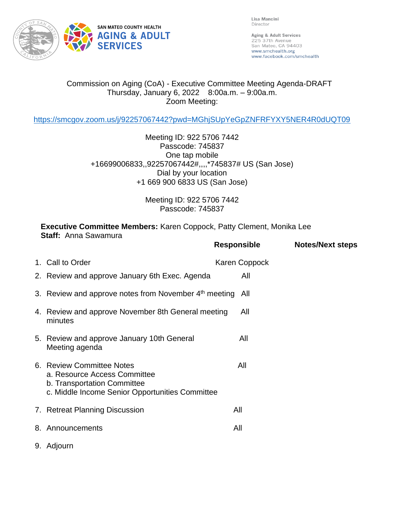

Lisa Mancini Director

Aging & Adult Services 225 37th Avenue San Mateo, CA 94403 www.smchealth.org www.facebook.com/smchealth

## Commission on Aging (CoA) - Executive Committee Meeting Agenda-DRAFT Thursday, January 6, 2022 8:00a.m. – 9:00a.m. Zoom Meeting:

<https://smcgov.zoom.us/j/92257067442?pwd=MGhjSUpYeGpZNFRFYXY5NER4R0dUQT09>

Meeting ID: 922 5706 7442 Passcode: 745837 One tap mobile +16699006833,,92257067442#,,,,\*745837# US (San Jose) Dial by your location +1 669 900 6833 US (San Jose)

> Meeting ID: 922 5706 7442 Passcode: 745837

**Executive Committee Members:** Karen Coppock, Patty Clement, Monika Lee **Staff:** Anna Sawamura **Responsible Notes/Next steps**

|                                                                                                                                             | <b>Responsible</b> | <b>Notes/Next steps</b> |
|---------------------------------------------------------------------------------------------------------------------------------------------|--------------------|-------------------------|
| 1. Call to Order                                                                                                                            | Karen Coppock      |                         |
| 2. Review and approve January 6th Exec. Agenda                                                                                              | All                |                         |
| 3. Review and approve notes from November 4 <sup>th</sup> meeting                                                                           | All                |                         |
| 4. Review and approve November 8th General meeting<br>minutes                                                                               | All                |                         |
| 5. Review and approve January 10th General<br>Meeting agenda                                                                                | All                |                         |
| 6. Review Committee Notes<br>a. Resource Access Committee<br>b. Transportation Committee<br>c. Middle Income Senior Opportunities Committee | All                |                         |
| 7. Retreat Planning Discussion                                                                                                              | All                |                         |
| 8. Announcements                                                                                                                            | All                |                         |
| 9. Adjourn                                                                                                                                  |                    |                         |